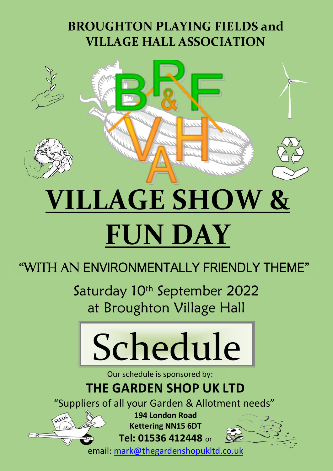# **BROUGHTON PLAYING FIELDS and VILLAGE HALL ASSOCIATION**



# **VILLAGE SHOW & FUN DAY**

# "WITH AN ENVIRONMENTALLY FRIENDLY THEME"

Saturday 10<sup>th</sup> September 2022 at Broughton Village Hall



Our schedule is sponsored by:

# **THE GARDEN SHOP UK LTD**

"Suppliers of all your Garden & Allotment needs"

SEEDS

 **Kettering NN15 6DT 194 London Road**

**Tel: 01536 412448** or

email[: mark@thegardenshopukltd.co.uk](mailto:mark@thegardenshopukltd.co.uk)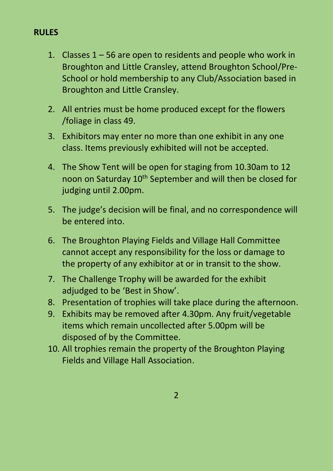#### **RULES**

- 1. Classes 1 56 are open to residents and people who work in Broughton and Little Cransley, attend Broughton School/Pre-School or hold membership to any Club/Association based in Broughton and Little Cransley.
- 2. All entries must be home produced except for the flowers /foliage in class 49.
- 3. Exhibitors may enter no more than one exhibit in any one class. Items previously exhibited will not be accepted.
- 4. The Show Tent will be open for staging from 10.30am to 12 noon on Saturday 10<sup>th</sup> September and will then be closed for judging until 2.00pm.
- 5. The judge's decision will be final, and no correspondence will be entered into.
- 6. The Broughton Playing Fields and Village Hall Committee cannot accept any responsibility for the loss or damage to the property of any exhibitor at or in transit to the show.
- 7. The Challenge Trophy will be awarded for the exhibit adjudged to be 'Best in Show'.
- 8. Presentation of trophies will take place during the afternoon.
- 9. Exhibits may be removed after 4.30pm. Any fruit/vegetable items which remain uncollected after 5.00pm will be disposed of by the Committee.
- 10. All trophies remain the property of the Broughton Playing Fields and Village Hall Association.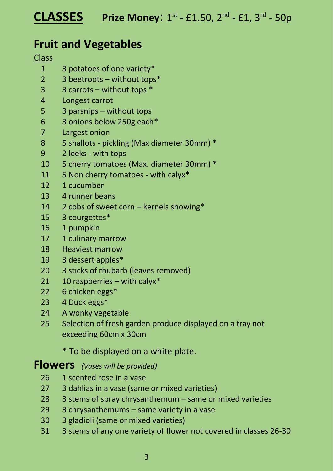## **Fruit and Vegetables**

#### **Class**

- 3 potatoes of one variety\*
- 2 3 beetroots without tops\*
- 3 carrots without tops \*
- Longest carrot
- 3 parsnips without tops
- 3 onions below 250g each\*
- Largest onion
- 5 shallots pickling (Max diameter 30mm) \*
- 2 leeks with tops
- 5 cherry tomatoes (Max. diameter 30mm) \*
- 5 Non cherry tomatoes with calyx\*
- 1 cucumber
- 4 runner beans
- 2 cobs of sweet corn kernels showing\*
- 3 courgettes\*
- 1 pumpkin
- 17 1 culinary marrow
- Heaviest marrow
- 3 dessert apples\*
- 3 sticks of rhubarb (leaves removed)
- 10 raspberries with calyx\*
- 6 chicken eggs\*
- 4 Duck eggs\*
- A wonky vegetable
- Selection of fresh garden produce displayed on a tray not exceeding 60cm x 30cm

### \* To be displayed on a white plate.

## **Flowers** *(Vases will be provided)*

- 26 1 scented rose in a vase
- 3 dahlias in a vase (same or mixed varieties)
- 3 stems of spray chrysanthemum same or mixed varieties
- 3 chrysanthemums same variety in a vase
- 3 gladioli (same or mixed varieties)
- 3 stems of any one variety of flower not covered in classes 26-30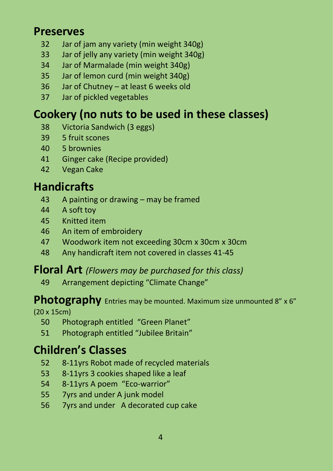## **Preserves**

- Jar of jam any variety (min weight 340g)
- Jar of jelly any variety (min weight 340g)
- Jar of Marmalade (min weight 340g)
- Jar of lemon curd (min weight 340g)
- Jar of Chutney at least 6 weeks old
- Jar of pickled vegetables

## **Cookery (no nuts to be used in these classes)**

- Victoria Sandwich (3 eggs)
- 5 fruit scones
- 5 brownies
- Ginger cake (Recipe provided)
- Vegan Cake

## **Handicrafts**

- A painting or drawing may be framed
- A soft toy
- Knitted item
- An item of embroidery
- Woodwork item not exceeding 30cm x 30cm x 30cm
- Any handicraft item not covered in classes 41-45

## **Floral Art** *(Flowers may be purchased for this class)*

Arrangement depicting "Climate Change"

## **Photography** Entries may be mounted. Maximum size unmounted 8" x 6"

(20 x 15cm)

- Photograph entitled "Green Planet"
- Photograph entitled "Jubilee Britain"

## **Children's Classes**

- 8-11yrs Robot made of recycled materials
- 8-11yrs 3 cookies shaped like a leaf
- 8-11yrs A poem "Eco-warrior"
- 7yrs and under A junk model
- 7yrs and under A decorated cup cake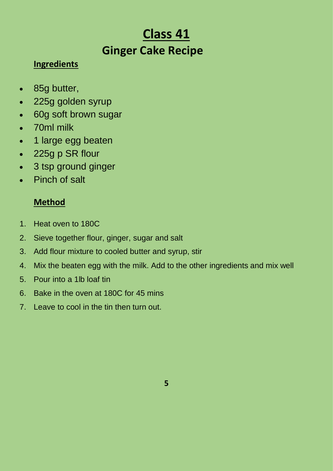# **Class 41 Ginger Cake Recipe**

## **Ingredients**

- 85g butter,
- 225g golden syrup
- 60g soft brown sugar
- 70ml milk
- 1 large [egg](https://www.bbcgoodfood.com/glossary/egg) beaten
- 225g p SR flour
- 3 tsp ground ginger
- Pinch of salt

## **Method**

- 1. Heat oven to 180C
- 2. Sieve together flour, ginger, sugar and salt
- 3. Add flour mixture to cooled butter and syrup, stir
- 4. Mix the beaten egg with the milk. Add to the other ingredients and mix well
- 5. Pour into a 1lb loaf tin
- 6. Bake in the oven at 180C for 45 mins
- 7. Leave to cool in the tin then turn out.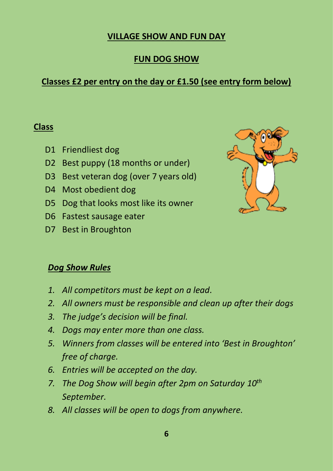#### **VILLAGE SHOW AND FUN DAY**

#### **FUN DOG SHOW**

## **Classes £2 per entry on the day or £1.50 (see entry form below)**

#### **Class**

- D1 Friendliest dog
- D2 Best puppy (18 months or under)
- D3 Best veteran dog (over 7 years old)
- D4 Most obedient dog
- D5 Dog that looks most like its owner
- D6 Fastest sausage eater
- D7 Best in Broughton



### *Dog Show Rules*

- *1. All competitors must be kept on a lead.*
- *2. All owners must be responsible and clean up after their dogs*
- *3. The judge's decision will be final.*
- *4. Dogs may enter more than one class.*
- *5. Winners from classes will be entered into 'Best in Broughton' free of charge.*
- *6. Entries will be accepted on the day.*
- *7. The Dog Show will begin after 2pm on Saturday 10th September.*
- *8. All classes will be open to dogs from anywhere.*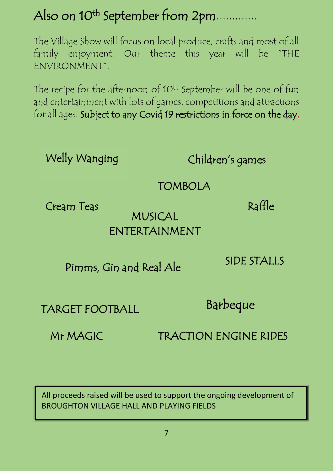# Also on 10<sup>th</sup> September from 2pm.............

The Village Show will focus on local produce, crafts and most of all family enjoyment. Our theme this year will be "THE ENVIRONMENT".

The recipe for the afternoon of 10<sup>th</sup> September will be one of fun and entertainment with lots of games, competitions and attractions for all ages. Subject to any Covid 19 restrictions in force on the day.

Welly Wanging

Children's games

**TOMBOLA** 

Cream Teas

## MUSICAL ENTERTAINMENT

Pimms, Gin and Real Ale

SIDE STALLS

Raffle

TARGET FOOTBALL

Barbeque

Mr MAGICTRACTION ENGINE RIDES

All proceeds raised will be used to support the ongoing development of BROUGHTON VILLAGE HALL AND PLAYING FIELDS